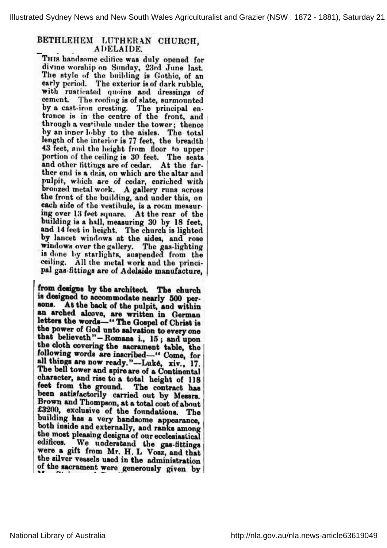Illustrated Sydney News and New South Wales Agriculturalist and Grazier (NSW : 1872 - 1881), Saturday 21

## BETHLEHEM LUTHERAN CHURCH, ADELAIDE.

THIS handsome edifice was duly opened for divine worship on Sunday, 23rd June last. The style of the building is Gothic, of an early period. The exterior is of dark rubble, with rusticated quoins and dressings of cement. The roofing is of slate, surmounted by <sup>a</sup> cast-iron cresting. The principal entrance is in the centre of the front, and through <sup>a</sup> vestibule under the tower; thence by an inner lobby to the aisles. The total length of the interior is 77 feet, the breadth <sup>43</sup> feet, and the height from floor to upper portion of the ceiling is 30 feet. The seats and other fittings are of cedar. At the farther end is <sup>a</sup> dais, on which are the altar and pulpit, which are of cedar, enriched with bronzed metal work. A gallery runs across the front of the building, and under this, o each side of the vestibule, is a room mea ing over 13 feet square. At the rear of the building is <sup>a</sup> hall, measuring <sup>30</sup> by <sup>18</sup> feet, and 14 feet in height. The church is lighted by lancet windows at the sides, and rose windows over the gallery. The gas-lighting is done by starlights, suspended from the ceiling. All the metal work and the principal gas-fittings are of Adelaide manufacture,

from designs by the architect. The church is designed to accommodate nearly <sup>500</sup> persons. At the back of the pulpit, and within an arched alcove, are written in German letters the words-" The Gospel of Christ is the power of God unto salvation to every one that believeth"-Romans i., 15; and upon the cloth covering the sacrament table, the following words are inscribed-" Come, for all things are now ready."-Luke, xiv., 17. The bell tower and spire are of <sup>a</sup> Continental character, and rise to <sup>a</sup> total height of <sup>118</sup> feet from the ground. The contract has been satisfactorily carried out by Messrs. Brown and Thompson, at <sup>a</sup> total cost of about £3200, exclusive of the foundations. The building has a very handsome appearance, both inside and externally, and ranks among the most pleasing designs of our ecclesiastical edifices. We understand the gas-fittings were <sup>a</sup> gift from Mr. H. L Vosz, and that the silver vessels used in the administration of the sacrament were generously given by